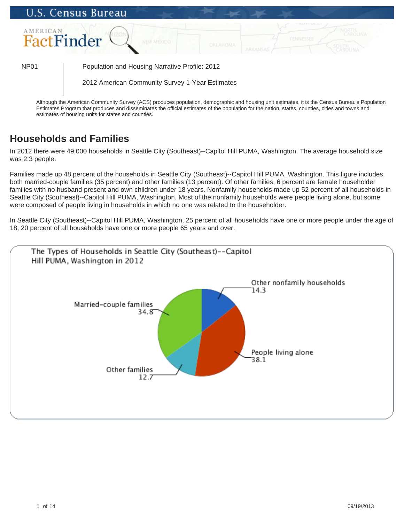

Although the American Community Survey (ACS) produces population, demographic and housing unit estimates, it is the Census Bureau's Population Estimates Program that produces and disseminates the official estimates of the population for the nation, states, counties, cities and towns and estimates of housing units for states and counties.

# **Households and Families**

In 2012 there were 49,000 households in Seattle City (Southeast)--Capitol Hill PUMA, Washington. The average household size was 2.3 people.

Families made up 48 percent of the households in Seattle City (Southeast)--Capitol Hill PUMA, Washington. This figure includes both married-couple families (35 percent) and other families (13 percent). Of other families, 6 percent are female householder families with no husband present and own children under 18 years. Nonfamily households made up 52 percent of all households in Seattle City (Southeast)--Capitol Hill PUMA, Washington. Most of the nonfamily households were people living alone, but some were composed of people living in households in which no one was related to the householder.

In Seattle City (Southeast)--Capitol Hill PUMA, Washington, 25 percent of all households have one or more people under the age of 18; 20 percent of all households have one or more people 65 years and over.

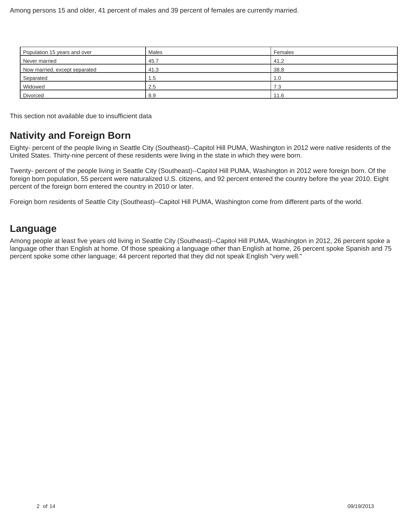| Population 15 years and over  | Males | Females |
|-------------------------------|-------|---------|
| Never married                 | 45.7  | 41.2    |
| Now married, except separated | 41.3  | 38.8    |
| Separated                     | 1.5   | l.O     |
| Widowed                       | 2.5   | 7.3     |
| Divorced                      | 8.9   | 11.6    |

This section not available due to insufficient data

## **Nativity and Foreign Born**

Eighty- percent of the people living in Seattle City (Southeast)--Capitol Hill PUMA, Washington in 2012 were native residents of the United States. Thirty-nine percent of these residents were living in the state in which they were born.

Twenty- percent of the people living in Seattle City (Southeast)--Capitol Hill PUMA, Washington in 2012 were foreign born. Of the foreign born population, 55 percent were naturalized U.S. citizens, and 92 percent entered the country before the year 2010. Eight percent of the foreign born entered the country in 2010 or later.

Foreign born residents of Seattle City (Southeast)--Capitol Hill PUMA, Washington come from different parts of the world.

### **Language**

Among people at least five years old living in Seattle City (Southeast)--Capitol Hill PUMA, Washington in 2012, 26 percent spoke a language other than English at home. Of those speaking a language other than English at home, 26 percent spoke Spanish and 75 percent spoke some other language; 44 percent reported that they did not speak English "very well."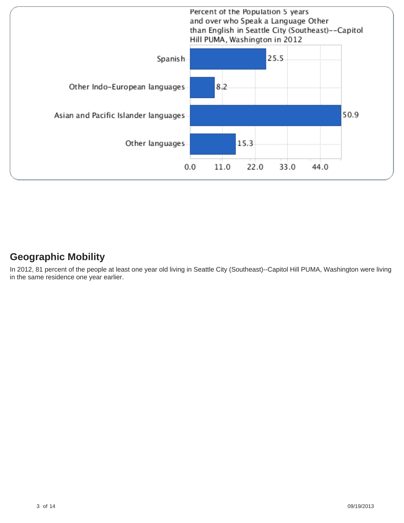

## **Geographic Mobility**

In 2012, 81 percent of the people at least one year old living in Seattle City (Southeast)--Capitol Hill PUMA, Washington were living in the same residence one year earlier.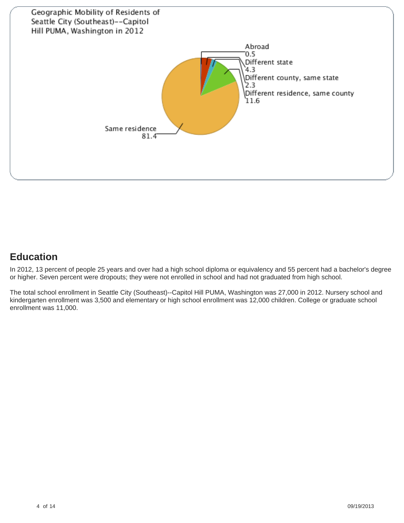

# **Education**

In 2012, 13 percent of people 25 years and over had a high school diploma or equivalency and 55 percent had a bachelor's degree or higher. Seven percent were dropouts; they were not enrolled in school and had not graduated from high school.

The total school enrollment in Seattle City (Southeast)--Capitol Hill PUMA, Washington was 27,000 in 2012. Nursery school and kindergarten enrollment was 3,500 and elementary or high school enrollment was 12,000 children. College or graduate school enrollment was 11,000.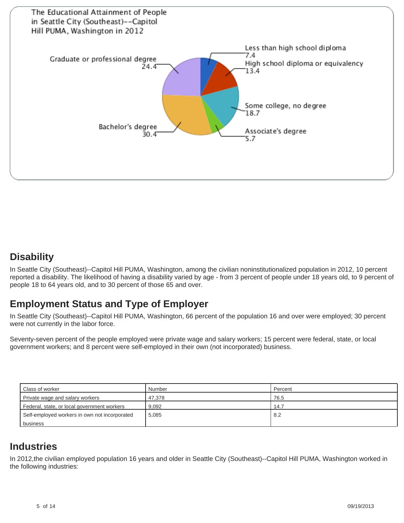

## **Disability**

In Seattle City (Southeast)--Capitol Hill PUMA, Washington, among the civilian noninstitutionalized population in 2012, 10 percent reported a disability. The likelihood of having a disability varied by age - from 3 percent of people under 18 years old, to 9 percent of people 18 to 64 years old, and to 30 percent of those 65 and over.

## **Employment Status and Type of Employer**

In Seattle City (Southeast)--Capitol Hill PUMA, Washington, 66 percent of the population 16 and over were employed; 30 percent were not currently in the labor force.

Seventy-seven percent of the people employed were private wage and salary workers; 15 percent were federal, state, or local government workers; and 8 percent were self-employed in their own (not incorporated) business.

| Class of worker                               | Number | Percent |
|-----------------------------------------------|--------|---------|
| Private wage and salary workers               | 47.378 | 76.5    |
| Federal, state, or local government workers   | 9.092  | 14.7    |
| Self-employed workers in own not incorporated | 5.085  | 8.2     |
| business                                      |        |         |

### **Industries**

In 2012,the civilian employed population 16 years and older in Seattle City (Southeast)--Capitol Hill PUMA, Washington worked in the following industries: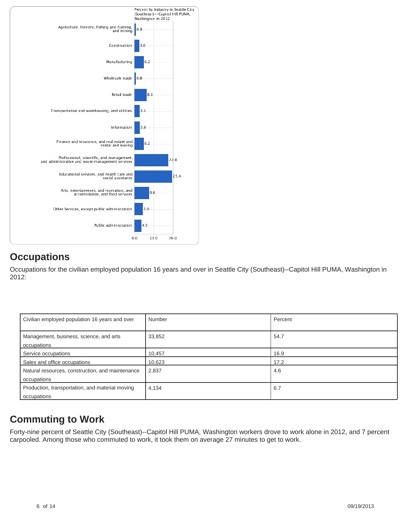

# **Occupations**

Occupations for the civilian employed population 16 years and over in Seattle City (Southeast)--Capitol Hill PUMA, Washington in 2012:

| Civilian employed population 16 years and over                  | Number | Percent |
|-----------------------------------------------------------------|--------|---------|
| Management, business, science, and arts<br>occupations          | 33,852 | 54.7    |
| Service occupations                                             | 10,457 | 16.9    |
| Sales and office occupations                                    | 10,623 | 17.2    |
| Natural resources, construction, and maintenance<br>occupations | 2,837  | 4.6     |
| Production, transportation, and material moving<br>occupations  | 4,134  | 6.7     |

# **Commuting to Work**

Forty-nine percent of Seattle City (Southeast)--Capitol Hill PUMA, Washington workers drove to work alone in 2012, and 7 percent carpooled. Among those who commuted to work, it took them on average 27 minutes to get to work.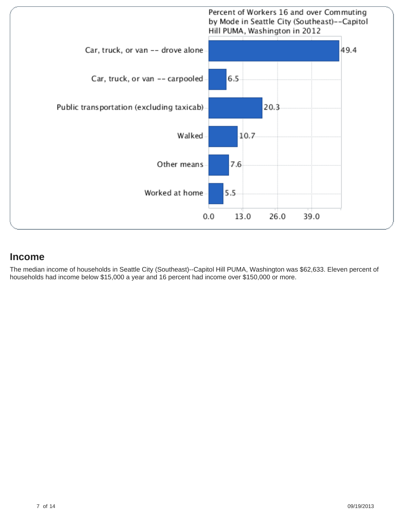

#### **Income**

The median income of households in Seattle City (Southeast)--Capitol Hill PUMA, Washington was \$62,633. Eleven percent of households had income below \$15,000 a year and 16 percent had income over \$150,000 or more.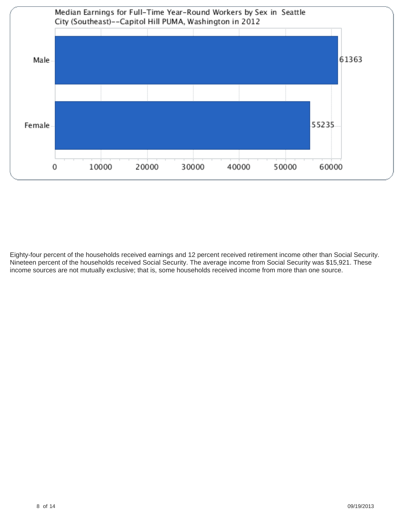

Eighty-four percent of the households received earnings and 12 percent received retirement income other than Social Security. Nineteen percent of the households received Social Security. The average income from Social Security was \$15,921. These income sources are not mutually exclusive; that is, some households received income from more than one source.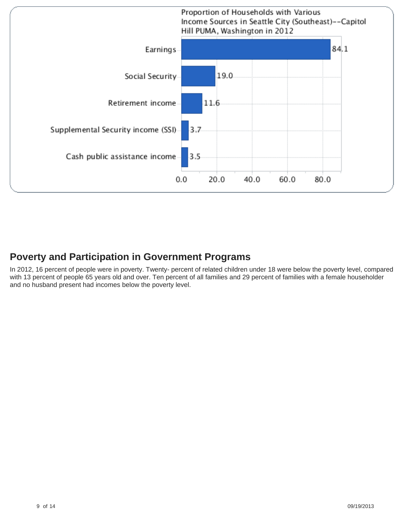

# **Poverty and Participation in Government Programs**

In 2012, 16 percent of people were in poverty. Twenty- percent of related children under 18 were below the poverty level, compared with 13 percent of people 65 years old and over. Ten percent of all families and 29 percent of families with a female householder and no husband present had incomes below the poverty level.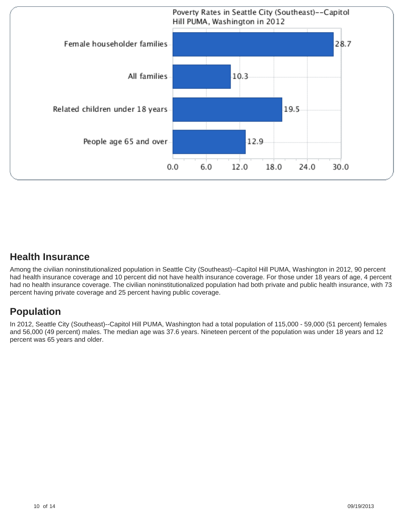

#### **Health Insurance**

Among the civilian noninstitutionalized population in Seattle City (Southeast)--Capitol Hill PUMA, Washington in 2012, 90 percent had health insurance coverage and 10 percent did not have health insurance coverage. For those under 18 years of age, 4 percent had no health insurance coverage. The civilian noninstitutionalized population had both private and public health insurance, with 73 percent having private coverage and 25 percent having public coverage.

# **Population**

In 2012, Seattle City (Southeast)--Capitol Hill PUMA, Washington had a total population of 115,000 - 59,000 (51 percent) females and 56,000 (49 percent) males. The median age was 37.6 years. Nineteen percent of the population was under 18 years and 12 percent was 65 years and older.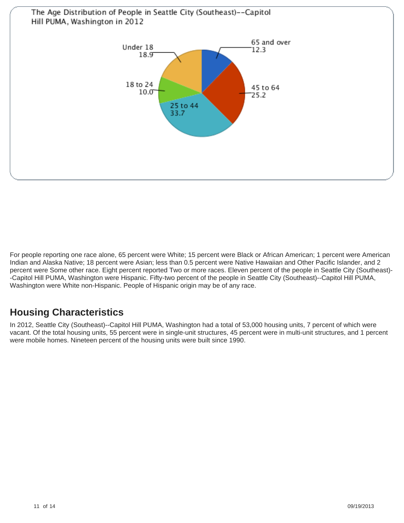

For people reporting one race alone, 65 percent were White; 15 percent were Black or African American; 1 percent were American Indian and Alaska Native; 18 percent were Asian; less than 0.5 percent were Native Hawaiian and Other Pacific Islander, and 2 percent were Some other race. Eight percent reported Two or more races. Eleven percent of the people in Seattle City (Southeast)- -Capitol Hill PUMA, Washington were Hispanic. Fifty-two percent of the people in Seattle City (Southeast)--Capitol Hill PUMA, Washington were White non-Hispanic. People of Hispanic origin may be of any race.

# **Housing Characteristics**

In 2012, Seattle City (Southeast)--Capitol Hill PUMA, Washington had a total of 53,000 housing units, 7 percent of which were vacant. Of the total housing units, 55 percent were in single-unit structures, 45 percent were in multi-unit structures, and 1 percent were mobile homes. Nineteen percent of the housing units were built since 1990.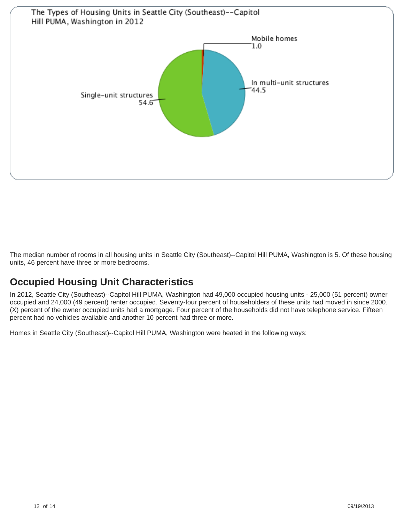

The median number of rooms in all housing units in Seattle City (Southeast)--Capitol Hill PUMA, Washington is 5. Of these housing units, 46 percent have three or more bedrooms.

# **Occupied Housing Unit Characteristics**

In 2012, Seattle City (Southeast)--Capitol Hill PUMA, Washington had 49,000 occupied housing units - 25,000 (51 percent) owner occupied and 24,000 (49 percent) renter occupied. Seventy-four percent of householders of these units had moved in since 2000. (X) percent of the owner occupied units had a mortgage. Four percent of the households did not have telephone service. Fifteen percent had no vehicles available and another 10 percent had three or more.

Homes in Seattle City (Southeast)--Capitol Hill PUMA, Washington were heated in the following ways: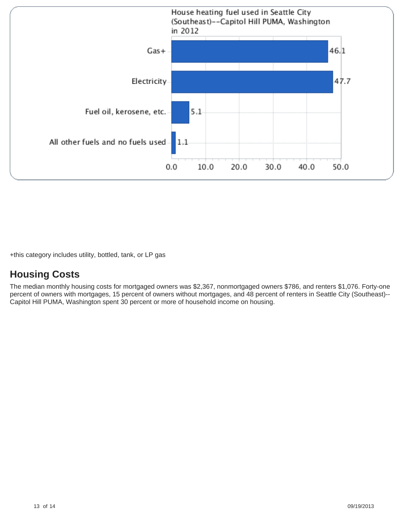

+this category includes utility, bottled, tank, or LP gas

## **Housing Costs**

The median monthly housing costs for mortgaged owners was \$2,367, nonmortgaged owners \$786, and renters \$1,076. Forty-one percent of owners with mortgages, 15 percent of owners without mortgages, and 48 percent of renters in Seattle City (Southeast)-- Capitol Hill PUMA, Washington spent 30 percent or more of household income on housing.